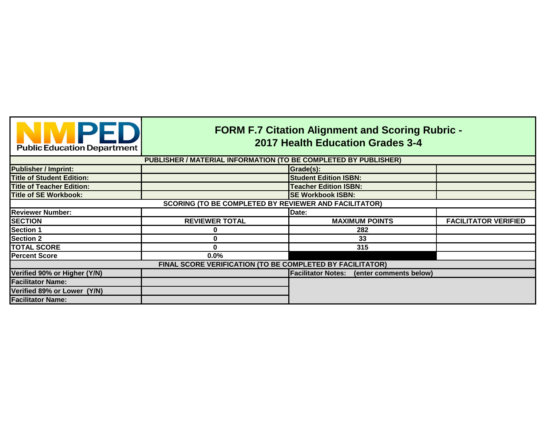| <b>NIMPED</b><br><b>Public Education Department</b>          | <b>FORM F.7 Citation Alignment and Scoring Rubric -</b><br>2017 Health Education Grades 3-4 |                                                  |                             |  |
|--------------------------------------------------------------|---------------------------------------------------------------------------------------------|--------------------------------------------------|-----------------------------|--|
|                                                              | PUBLISHER / MATERIAL INFORMATION (TO BE COMPLETED BY PUBLISHER)                             |                                                  |                             |  |
| <b>Publisher / Imprint:</b>                                  |                                                                                             | Grade(s):                                        |                             |  |
| <b>Title of Student Edition:</b>                             |                                                                                             | <b>Student Edition ISBN:</b>                     |                             |  |
| <b>Title of Teacher Edition:</b>                             |                                                                                             | <b>Teacher Edition ISBN:</b>                     |                             |  |
| <b>Title of SE Workbook:</b>                                 |                                                                                             | <b>SE Workbook ISBN:</b>                         |                             |  |
| <b>SCORING (TO BE COMPLETED BY REVIEWER AND FACILITATOR)</b> |                                                                                             |                                                  |                             |  |
| <b>Reviewer Number:</b>                                      |                                                                                             | Date:                                            |                             |  |
| <b>SECTION</b>                                               | <b>REVIEWER TOTAL</b>                                                                       | <b>MAXIMUM POINTS</b>                            | <b>FACILITATOR VERIFIED</b> |  |
| <b>Section 1</b>                                             |                                                                                             | 282                                              |                             |  |
| <b>Section 2</b>                                             |                                                                                             | 33                                               |                             |  |
| <b>TOTAL SCORE</b>                                           | Λ                                                                                           | 315                                              |                             |  |
| <b>Percent Score</b>                                         | 0.0%                                                                                        |                                                  |                             |  |
|                                                              | FINAL SCORE VERIFICATION (TO BE COMPLETED BY FACILITATOR)                                   |                                                  |                             |  |
| Verified 90% or Higher (Y/N)                                 |                                                                                             | <b>Facilitator Notes:</b> (enter comments below) |                             |  |
| <b>Facilitator Name:</b>                                     |                                                                                             |                                                  |                             |  |
| Verified 89% or Lower (Y/N)                                  |                                                                                             |                                                  |                             |  |
| <b>Facilitator Name:</b>                                     |                                                                                             |                                                  |                             |  |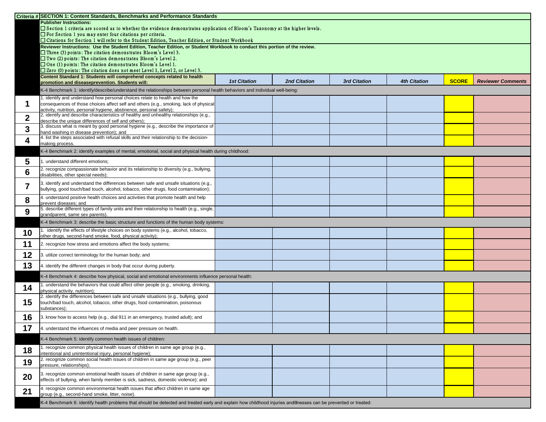|                          | Criteria # SECTION 1: Content Standards, Benchmarks and Performance Standards                                                                                        |                     |                     |                     |                     |              |                          |
|--------------------------|----------------------------------------------------------------------------------------------------------------------------------------------------------------------|---------------------|---------------------|---------------------|---------------------|--------------|--------------------------|
|                          | <b>Publisher Instructions:</b>                                                                                                                                       |                     |                     |                     |                     |              |                          |
|                          | □ Section 1 criteria are scored as to whether the evidence demonstrates application of Bloom's Taxonomy at the higher levels.                                        |                     |                     |                     |                     |              |                          |
|                          | $\Box$ For Section 1 you may enter four citations per criteria.<br>□ Citations for Section 1 will refer to the Student Edition, Teacher Edition, or Student Workbook |                     |                     |                     |                     |              |                          |
|                          | Reviewer Instructions: Use the Student Edition, Teacher Edition, or Student Workbook to conduct this portion of the review.                                          |                     |                     |                     |                     |              |                          |
|                          | $\Box$ Three (3) points: The citation demonstrates Bloom's Level 3.                                                                                                  |                     |                     |                     |                     |              |                          |
|                          | $\Box$ Two (2) points: The citation demonstrates Bloom's Level 2.                                                                                                    |                     |                     |                     |                     |              |                          |
|                          | $\Box$ One (1) points: The citation demonstrates Bloom's Level 1.                                                                                                    |                     |                     |                     |                     |              |                          |
|                          | $\square$ Zero (0) points: The citation does not meet Level 1, Level 2, or Level 3.                                                                                  |                     |                     |                     |                     |              |                          |
|                          | Content Standard 1: Students will comprehend concepts related to health<br>promotion and diseaseprevention. Students will:                                           | <b>1st Citation</b> | <b>2nd Citation</b> | <b>3rd Citation</b> | <b>4th Citation</b> | <b>SCORE</b> | <b>Reviewer Comments</b> |
|                          | K-4 Benchmark 1: identify/describe/understand the relationships between personal health behaviors and individual well-being:                                         |                     |                     |                     |                     |              |                          |
|                          | identify and understand how personal choices relate to health and how the                                                                                            |                     |                     |                     |                     |              |                          |
|                          | consequences of those choices affect self and others (e.g., smoking, lack of physical                                                                                |                     |                     |                     |                     |              |                          |
|                          | activity, nutrition, personal hygiene, abstinence, personal safety);                                                                                                 |                     |                     |                     |                     |              |                          |
| $\boldsymbol{2}$         | 2. identify and describe characteristics of healthy and unhealthy relationships (e.g.,                                                                               |                     |                     |                     |                     |              |                          |
|                          | describe the unique differences of self and others);<br>3. discuss what is meant by good personal hygiene (e.g., describe the importance of                          |                     |                     |                     |                     |              |                          |
| $\boldsymbol{3}$         | hand washing in disease prevention); and                                                                                                                             |                     |                     |                     |                     |              |                          |
|                          | 4. list the steps associated with refusal skills and their relationship to the decision-                                                                             |                     |                     |                     |                     |              |                          |
| 4                        | making process.                                                                                                                                                      |                     |                     |                     |                     |              |                          |
|                          | K-4 Benchmark 2: identify examples of mental, emotional, social and physical health during childhood:                                                                |                     |                     |                     |                     |              |                          |
| 5                        | . understand different emotions;                                                                                                                                     |                     |                     |                     |                     |              |                          |
| 6                        | 2. recognize compassionate behavior and its relationship to diversity (e.g., bullying,                                                                               |                     |                     |                     |                     |              |                          |
|                          | disabilities, other special needs);                                                                                                                                  |                     |                     |                     |                     |              |                          |
| $\overline{\phantom{a}}$ | 3. identify and understand the differences between safe and unsafe situations (e.g.,                                                                                 |                     |                     |                     |                     |              |                          |
|                          | bullying, good touch/bad touch, alcohol, tobacco, other drugs, food contamination);                                                                                  |                     |                     |                     |                     |              |                          |
| 8                        | 4. understand positive health choices and activities that promote health and help                                                                                    |                     |                     |                     |                     |              |                          |
|                          | prevent diseases; and<br>5. describe different types of family units and their relationship to health (e.g., single,                                                 |                     |                     |                     |                     |              |                          |
| 9                        | grandparent, same sex parents)                                                                                                                                       |                     |                     |                     |                     |              |                          |
|                          | K-4 Benchmark 3: describe the basic structure and functions of the human body systems:                                                                               |                     |                     |                     |                     |              |                          |
| 10                       | identify the effects of lifestyle choices on body systems (e.g., alcohol, tobacco,                                                                                   |                     |                     |                     |                     |              |                          |
|                          | other drugs, second-hand smoke, food, physical activity);                                                                                                            |                     |                     |                     |                     |              |                          |
| 11                       | 2. recognize how stress and emotions affect the body systems;                                                                                                        |                     |                     |                     |                     |              |                          |
| 12                       | 3. utilize correct terminology for the human body; and                                                                                                               |                     |                     |                     |                     |              |                          |
| 13                       | 4. identify the different changes in body that occur during puberty.                                                                                                 |                     |                     |                     |                     |              |                          |
|                          |                                                                                                                                                                      |                     |                     |                     |                     |              |                          |
|                          | K-4 Benchmark 4: describe how physical, social and emotional environments influence personal health:                                                                 |                     |                     |                     |                     |              |                          |
| 14                       | . understand the behaviors that could affect other people (e.g., smoking, drinking,<br>physical activity, nutrition);                                                |                     |                     |                     |                     |              |                          |
|                          | 2. identify the differences between safe and unsafe situations (e.g., bullying, good                                                                                 |                     |                     |                     |                     |              |                          |
| 15                       | touch/bad touch, alcohol, tobacco, other drugs, food contamination, poisonous<br>substances);                                                                        |                     |                     |                     |                     |              |                          |
| 16                       | 3. know how to access help (e.g., dial 911 in an emergency, trusted adult); and                                                                                      |                     |                     |                     |                     |              |                          |
|                          |                                                                                                                                                                      |                     |                     |                     |                     |              |                          |
| 17                       | 4. understand the influences of media and peer pressure on health.                                                                                                   |                     |                     |                     |                     |              |                          |
|                          | K-4 Benchmark 5: identify common health issues of children:                                                                                                          |                     |                     |                     |                     |              |                          |
| 18                       | . recognize common physical health issues of children in same age group (e.g.,<br>intentional and unintentional injury, personal hygiene);                           |                     |                     |                     |                     |              |                          |
| 19                       | 2. recognize common social health issues of children in same age group (e.g., peer<br>pressure, relationships);                                                      |                     |                     |                     |                     |              |                          |
| 20                       | 3. recognize common emotional health issues of children in same age group (e.g.,                                                                                     |                     |                     |                     |                     |              |                          |
|                          | effects of bullying, when family member is sick, sadness, domestic violence); and                                                                                    |                     |                     |                     |                     |              |                          |
| 21                       | 4. recognize common environmental health issues that affect children in same age<br>group (e.g., second-hand smoke, litter, noise).                                  |                     |                     |                     |                     |              |                          |
|                          | K-4 Benchmark 6: identify health problems that should be detected and treated early and explain how childhood injuries andillnesses can be prevented or treated:     |                     |                     |                     |                     |              |                          |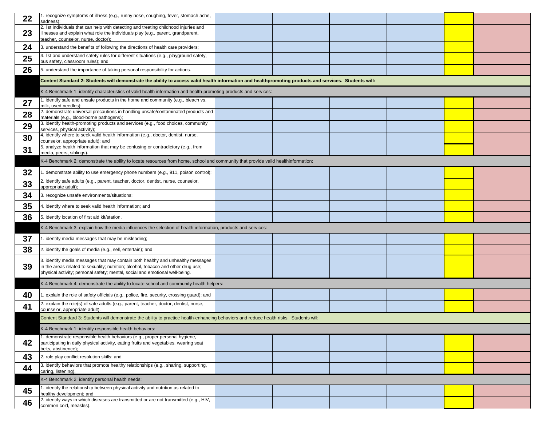| 22 | 1. recognize symptoms of illness (e.g., runny nose, coughing, fever, stomach ache,<br>sadness);                                                                                                                                                       |  |  |
|----|-------------------------------------------------------------------------------------------------------------------------------------------------------------------------------------------------------------------------------------------------------|--|--|
| 23 | 2. list individuals that can help with detecting and treating childhood injuries and<br>illnesses and explain what role the individuals play (e.g., parent, grandparent,<br>teacher, counselor, nurse, doctor);                                       |  |  |
| 24 | 3. understand the benefits of following the directions of health care providers;                                                                                                                                                                      |  |  |
| 25 | 4. list and understand safety rules for different situations (e.g., playground safety,<br>bus safety, classroom rules); and                                                                                                                           |  |  |
| 26 | 5. understand the importance of taking personal responsibility for actions.                                                                                                                                                                           |  |  |
|    | Content Standard 2: Students will demonstrate the ability to access valid health information and healthpromoting products and services. Students will:                                                                                                |  |  |
|    | K-4 Benchmark 1: identify characteristics of valid health information and health-promoting products and services:                                                                                                                                     |  |  |
| 27 | 1. identify safe and unsafe products in the home and community (e.g., bleach vs.<br>milk, used needles);                                                                                                                                              |  |  |
| 28 | 2. demonstrate universal precautions in handling unsafe/contaminated products and<br>materials (e.g., blood-borne pathogens);                                                                                                                         |  |  |
| 29 | 3. identify health-promoting products and services (e.g., food choices, community<br>services, physical activity);                                                                                                                                    |  |  |
| 30 | 4. identify where to seek valid health information (e.g., doctor, dentist, nurse,<br>counselor, appropriate adult); and                                                                                                                               |  |  |
| 31 | 5. analyze health information that may be confusing or contradictory (e.g., from<br>media, peers, siblings).                                                                                                                                          |  |  |
|    | K-4 Benchmark 2: demonstrate the ability to locate resources from home, school and community that provide valid healthinformation:                                                                                                                    |  |  |
| 32 | 1. demonstrate ability to use emergency phone numbers (e.g., 911, poison control);                                                                                                                                                                    |  |  |
| 33 | 2. identify safe adults (e.g., parent, teacher, doctor, dentist, nurse, counselor,                                                                                                                                                                    |  |  |
| 34 | appropriate adult);<br>3. recognize unsafe environments/situations;                                                                                                                                                                                   |  |  |
| 35 | 4. identify where to seek valid health information; and                                                                                                                                                                                               |  |  |
| 36 | 5. identify location of first aid kit/station.                                                                                                                                                                                                        |  |  |
|    | K-4 Benchmark 3: explain how the media influences the selection of health information, products and services:                                                                                                                                         |  |  |
| 37 | 1. identify media messages that may be misleading;                                                                                                                                                                                                    |  |  |
| 38 | 2. identify the goals of media (e.g., sell, entertain); and                                                                                                                                                                                           |  |  |
| 39 | 3. identify media messages that may contain both healthy and unhealthy messages<br>in the areas related to sexuality; nutrition; alcohol, tobacco and other drug use;<br>physical activity; personal safety; mental, social and emotional well-being. |  |  |
|    | K-4 Benchmark 4: demonstrate the ability to locate school and community health helpers:                                                                                                                                                               |  |  |
| 40 | 1. explain the role of safety officials (e.g., police, fire, security, crossing guard); and                                                                                                                                                           |  |  |
| 41 | 2. explain the role(s) of safe adults (e.g., parent, teacher, doctor, dentist, nurse,<br>counselor, appropriate adult).                                                                                                                               |  |  |
|    | Content Standard 3: Students will demonstrate the ability to practice health-enhancing behaviors and reduce health risks. Students will:                                                                                                              |  |  |
|    | K-4 Benchmark 1: identify responsible health behaviors:                                                                                                                                                                                               |  |  |
| 42 | 1. demonstrate responsible health behaviors (e.g., proper personal hygiene,<br>participating in daily physical activity, eating fruits and vegetables, wearing seat<br>belts, abstinence);                                                            |  |  |
| 43 | 2. role play conflict resolution skills; and                                                                                                                                                                                                          |  |  |
| 44 | 3. identify behaviors that promote healthy relationships (e.g., sharing, supporting,<br>caring, listening).                                                                                                                                           |  |  |
|    | K-4 Benchmark 2: identify personal health needs:                                                                                                                                                                                                      |  |  |
| 45 | 1. identify the relationship between physical activity and nutrition as related to<br>healthy development; and                                                                                                                                        |  |  |
| 46 | 2. identify ways in which diseases are transmitted or are not transmitted (e.g., HIV,<br>common cold, measles).                                                                                                                                       |  |  |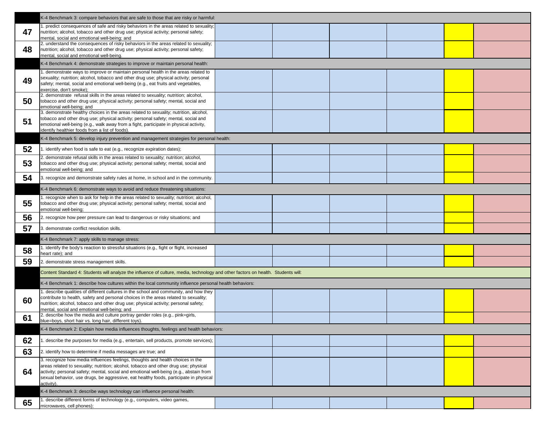|    | K-4 Benchmark 3: compare behaviors that are safe to those that are risky or harmful:                                                                                                                                                                                                                                                                                    |  |  |
|----|-------------------------------------------------------------------------------------------------------------------------------------------------------------------------------------------------------------------------------------------------------------------------------------------------------------------------------------------------------------------------|--|--|
| 47 | 1. predict consequences of safe and risky behaviors in the areas related to sexuality;<br>nutrition; alcohol, tobacco and other drug use; physical activity; personal safety;<br>mental, social and emotional well-being; and                                                                                                                                           |  |  |
| 48 | 2. understand the consequences of risky behaviors in the areas related to sexuality;<br>nutrition; alcohol, tobacco and other drug use; physical activity; personal safety;<br>mental, social and emotional well-being.                                                                                                                                                 |  |  |
|    | K-4 Benchmark 4: demonstrate strategies to improve or maintain personal health:                                                                                                                                                                                                                                                                                         |  |  |
| 49 | 1. demonstrate ways to improve or maintain personal health in the areas related to<br>sexuality; nutrition; alcohol, tobacco and other drug use; physical activity; personal<br>safety; mental, social and emotional well-being (e.g., eat fruits and vegetables,<br>exercise, don't smoke);                                                                            |  |  |
| 50 | 2. demonstrate refusal skills in the areas related to sexuality; nutrition; alcohol,<br>tobacco and other drug use; physical activity; personal safety; mental, social and<br>emotional well-being; and                                                                                                                                                                 |  |  |
| 51 | 3. demonstrate healthy choices in the areas related to sexuality; nutrition, alcohol,<br>tobacco and other drug use; physical activity; personal safety; mental, social and<br>emotional well-being (e.g., walk away from a fight, participate in physical activity,<br>identify healthier foods from a list of foods).                                                 |  |  |
|    | K-4 Benchmark 5: develop injury prevention and management strategies for personal health:                                                                                                                                                                                                                                                                               |  |  |
| 52 | 1. identify when food is safe to eat (e.g., recognize expiration dates);                                                                                                                                                                                                                                                                                                |  |  |
| 53 | 2. demonstrate refusal skills in the areas related to sexuality; nutrition; alcohol,<br>tobacco and other drug use; physical activity; personal safety; mental, social and<br>emotional well-being; and                                                                                                                                                                 |  |  |
| 54 | 3. recognize and demonstrate safety rules at home, in school and in the community.                                                                                                                                                                                                                                                                                      |  |  |
|    | K-4 Benchmark 6: demonstrate ways to avoid and reduce threatening situations:                                                                                                                                                                                                                                                                                           |  |  |
| 55 | 1. recognize when to ask for help in the areas related to sexuality; nutrition; alcohol,<br>tobacco and other drug use; physical activity; personal safety; mental, social and<br>emotional well-being;                                                                                                                                                                 |  |  |
| 56 | 2. recognize how peer pressure can lead to dangerous or risky situations; and                                                                                                                                                                                                                                                                                           |  |  |
| 57 | 3. demonstrate conflict resolution skills.                                                                                                                                                                                                                                                                                                                              |  |  |
|    | K-4 Benchmark 7: apply skills to manage stress:                                                                                                                                                                                                                                                                                                                         |  |  |
| 58 | 1. identify the body's reaction to stressful situations (e.g., fight or flight, increased<br>heart rate); and                                                                                                                                                                                                                                                           |  |  |
| 59 | 2. demonstrate stress management skills.                                                                                                                                                                                                                                                                                                                                |  |  |
|    | Content Standard 4: Students will analyze the influence of culture, media, technology and other factors on health. Students will:                                                                                                                                                                                                                                       |  |  |
|    | K-4 Benchmark 1: describe how cultures within the local community influence personal health behaviors:                                                                                                                                                                                                                                                                  |  |  |
| 60 | 1. describe qualities of different cultures in the school and community, and how they<br>contribute to health, safety and personal choices in the areas related to sexuality;<br>nutrition; alcohol, tobacco and other drug use; physical activity; personal safety;<br>mental, social and emotional well-being; and                                                    |  |  |
| 61 | 2. describe how the media and culture portray gender roles (e.g., pink=girls,<br>blue=boys, short hair vs. long hair, different toys).                                                                                                                                                                                                                                  |  |  |
|    | K-4 Benchmark 2: Explain how media influences thoughts, feelings and health behaviors:                                                                                                                                                                                                                                                                                  |  |  |
| 62 | 1. describe the purposes for media (e.g., entertain, sell products, promote services);                                                                                                                                                                                                                                                                                  |  |  |
| 63 | 2. identify how to determine if media messages are true; and                                                                                                                                                                                                                                                                                                            |  |  |
| 64 | 3. recognize how media influences feelings, thoughts and health choices in the<br>areas related to sexuality; nutrition; alcohol, tobacco and other drug use; physical<br>activity; personal safety; mental, social and emotional well-being (e.g., abstain from<br>sexual behavior, use drugs, be aggressive, eat healthy foods, participate in physical<br>activity). |  |  |
|    | K-4 Benchmark 3: describe ways technology can influence personal health:                                                                                                                                                                                                                                                                                                |  |  |
| 65 | 1. describe different forms of technology (e.g., computers, video games,<br>microwaves, cell phones);                                                                                                                                                                                                                                                                   |  |  |
|    |                                                                                                                                                                                                                                                                                                                                                                         |  |  |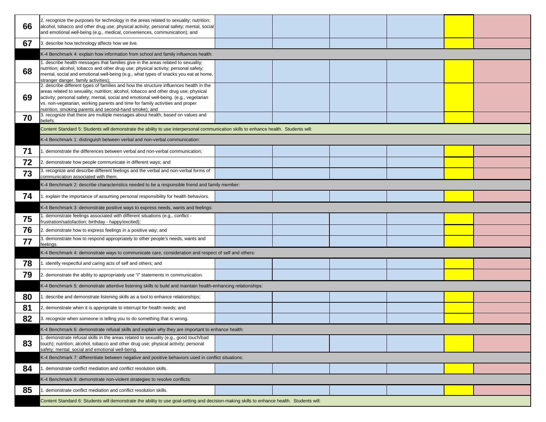|    | 2. recognize the purposes for technology in the areas related to sexuality; nutrition;                                                                                                                                                                                                                                                                                                                                                                                                                |  |  |  |
|----|-------------------------------------------------------------------------------------------------------------------------------------------------------------------------------------------------------------------------------------------------------------------------------------------------------------------------------------------------------------------------------------------------------------------------------------------------------------------------------------------------------|--|--|--|
| 66 | alcohol, tobacco and other drug use; physical activity; personal safety; mental, social                                                                                                                                                                                                                                                                                                                                                                                                               |  |  |  |
|    | and emotional well-being (e.g., medical, conveniences, communication); and                                                                                                                                                                                                                                                                                                                                                                                                                            |  |  |  |
| 67 | 3. describe how technology affects how we live.                                                                                                                                                                                                                                                                                                                                                                                                                                                       |  |  |  |
|    | K-4 Benchmark 4: explain how information from school and family influences health:                                                                                                                                                                                                                                                                                                                                                                                                                    |  |  |  |
| 68 | 1. describe health messages that families give in the areas related to sexuality;<br>nutrition; alcohol, tobacco and other drug use; physical activity; personal safety;<br>mental, social and emotional well-being (e.g., what types of snacks you eat at home,<br>stranger danger, family activities):                                                                                                                                                                                              |  |  |  |
| 69 | 2. describe different types of families and how the structure influences health in the<br>areas related to sexuality; nutrition; alcohol, tobacco and other drug use; physical<br>activity; personal safety; mental, social and emotional well-being. (e.g., vegetarian<br>vs. non-vegetarian, working parents and time for family activities and proper<br>nutrition, smoking parents and second-hand smoke); and<br>3. recognize that there are multiple messages about health, based on values and |  |  |  |
| 70 | beliefs.                                                                                                                                                                                                                                                                                                                                                                                                                                                                                              |  |  |  |
|    | Content Standard 5: Students will demonstrate the ability to use interpersonal communication skills to enhance health. Students will:                                                                                                                                                                                                                                                                                                                                                                 |  |  |  |
|    | K-4 Benchmark 1: distinguish between verbal and non-verbal communication:                                                                                                                                                                                                                                                                                                                                                                                                                             |  |  |  |
| 71 | 1. demonstrate the differences between verbal and non-verbal communication;                                                                                                                                                                                                                                                                                                                                                                                                                           |  |  |  |
| 72 | 2. demonstrate how people communicate in different ways; and                                                                                                                                                                                                                                                                                                                                                                                                                                          |  |  |  |
| 73 | 3. recognize and describe different feelings and the verbal and non-verbal forms of<br>communication associated with them.                                                                                                                                                                                                                                                                                                                                                                            |  |  |  |
|    | K-4 Benchmark 2: describe characteristics needed to be a responsible friend and family member:                                                                                                                                                                                                                                                                                                                                                                                                        |  |  |  |
| 74 | 1. explain the importance of assuming personal responsibility for health behaviors.                                                                                                                                                                                                                                                                                                                                                                                                                   |  |  |  |
|    | K-4 Benchmark 3: demonstrate positive ways to express needs, wants and feelings:                                                                                                                                                                                                                                                                                                                                                                                                                      |  |  |  |
| 75 | 1. demonstrate feelings associated with different situations (e.g., conflict -<br>frustration/satisfaction; birthday - happy/excited);                                                                                                                                                                                                                                                                                                                                                                |  |  |  |
| 76 | 2. demonstrate how to express feelings in a positive way; and                                                                                                                                                                                                                                                                                                                                                                                                                                         |  |  |  |
| 77 | 3. demonstrate how to respond appropriately to other people's needs, wants and<br>feelings.                                                                                                                                                                                                                                                                                                                                                                                                           |  |  |  |
|    | K-4 Benchmark 4: demonstrate ways to communicate care, consideration and respect of self and others:                                                                                                                                                                                                                                                                                                                                                                                                  |  |  |  |
| 78 | 1. identify respectful and caring acts of self and others; and                                                                                                                                                                                                                                                                                                                                                                                                                                        |  |  |  |
| 79 | 2. demonstrate the ability to appropriately use "I" statements in communication.                                                                                                                                                                                                                                                                                                                                                                                                                      |  |  |  |
|    | K-4 Benchmark 5: demonstrate attentive listening skills to build and maintain health-enhancing relationships:                                                                                                                                                                                                                                                                                                                                                                                         |  |  |  |
| 80 | 1. describe and demonstrate listening skills as a tool to enhance relationships;                                                                                                                                                                                                                                                                                                                                                                                                                      |  |  |  |
| 81 | 2. demonstrate when it is appropriate to interrupt for health needs; and                                                                                                                                                                                                                                                                                                                                                                                                                              |  |  |  |
| 82 | 3. recognize when someone is telling you to do something that is wrong.                                                                                                                                                                                                                                                                                                                                                                                                                               |  |  |  |
|    | K-4 Benchmark 6: demonstrate refusal skills and explain why they are important to enhance health:                                                                                                                                                                                                                                                                                                                                                                                                     |  |  |  |
| 83 | 1. demonstrate refusal skills in the areas related to sexuality (e.g., good touch/bad<br>touch); nutrition; alcohol, tobacco and other drug use; physical activity; personal<br>safety; mental, social and emotional well-being.                                                                                                                                                                                                                                                                      |  |  |  |
|    | K-4 Benchmark 7: differentiate between negative and positive behaviors used in conflict situations:                                                                                                                                                                                                                                                                                                                                                                                                   |  |  |  |
| 84 | 1. demonstrate conflict mediation and conflict resolution skills.                                                                                                                                                                                                                                                                                                                                                                                                                                     |  |  |  |
|    | K-4 Benchmark 8: demonstrate non-violent strategies to resolve conflicts:                                                                                                                                                                                                                                                                                                                                                                                                                             |  |  |  |
| 85 | 1. demonstrate conflict mediation and conflict resolution skills.                                                                                                                                                                                                                                                                                                                                                                                                                                     |  |  |  |
|    | Content Standard 6: Students will demonstrate the ability to use goal-setting and decision-making skills to enhance health. Students will:                                                                                                                                                                                                                                                                                                                                                            |  |  |  |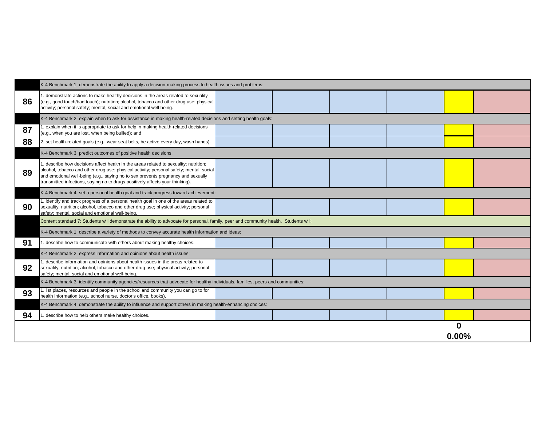|    | K-4 Benchmark 1: demonstrate the ability to apply a decision-making process to health issues and problems:                                                                                                                                                                                                                                            |  |  |
|----|-------------------------------------------------------------------------------------------------------------------------------------------------------------------------------------------------------------------------------------------------------------------------------------------------------------------------------------------------------|--|--|
| 86 | 1. demonstrate actions to make healthy decisions in the areas related to sexuality<br>(e.g., good touch/bad touch); nutrition; alcohol, tobacco and other drug use; physical<br>activity; personal safety; mental, social and emotional well-being.                                                                                                   |  |  |
|    | K-4 Benchmark 2: explain when to ask for assistance in making health-related decisions and setting health goals:                                                                                                                                                                                                                                      |  |  |
| 87 | 1. explain when it is appropriate to ask for help in making health-related decisions<br>(e.g., when you are lost, when being bullied); and                                                                                                                                                                                                            |  |  |
| 88 | 2. set health-related goals (e.g., wear seat belts, be active every day, wash hands).                                                                                                                                                                                                                                                                 |  |  |
|    | K-4 Benchmark 3: predict outcomes of positive health decisions:                                                                                                                                                                                                                                                                                       |  |  |
| 89 | 1. describe how decisions affect health in the areas related to sexuality; nutrition;<br>alcohol, tobacco and other drug use; physical activity; personal safety; mental, social<br>and emotional well-being (e.g., saying no to sex prevents pregnancy and sexually<br>transmitted infections, saying no to drugs positively affects your thinking). |  |  |
|    | K-4 Benchmark 4: set a personal health goal and track progress toward achievement:                                                                                                                                                                                                                                                                    |  |  |
| 90 | 1. identify and track progress of a personal health goal in one of the areas related to<br>sexuality; nutrition; alcohol, tobacco and other drug use; physical activity; personal<br>safety; mental, social and emotional well-being.                                                                                                                 |  |  |
|    | Content standard 7: Students will demonstrate the ability to advocate for personal, family, peer and community health. Students will:                                                                                                                                                                                                                 |  |  |
|    | K-4 Benchmark 1: describe a variety of methods to convey accurate health information and ideas:                                                                                                                                                                                                                                                       |  |  |
| 91 | 1. describe how to communicate with others about making healthy choices.                                                                                                                                                                                                                                                                              |  |  |
|    | K-4 Benchmark 2: express information and opinions about health issues:                                                                                                                                                                                                                                                                                |  |  |
| 92 | 1. describe information and opinions about health issues in the areas related to<br>sexuality; nutrition; alcohol, tobacco and other drug use; physical activity; personal<br>safety; mental, social and emotional well-being.                                                                                                                        |  |  |
|    | K-4 Benchmark 3: identify community agencies/resources that advocate for healthy individuals, families, peers and communities:                                                                                                                                                                                                                        |  |  |
| 93 | 1. list places, resources and people in the school and community you can go to for<br>health information (e.g., school nurse, doctor's office, books).                                                                                                                                                                                                |  |  |
|    | K-4 Benchmark 4: demonstrate the ability to influence and support others in making health-enhancing choices:                                                                                                                                                                                                                                          |  |  |
| 94 | 1. describe how to help others make healthy choices.                                                                                                                                                                                                                                                                                                  |  |  |
|    |                                                                                                                                                                                                                                                                                                                                                       |  |  |

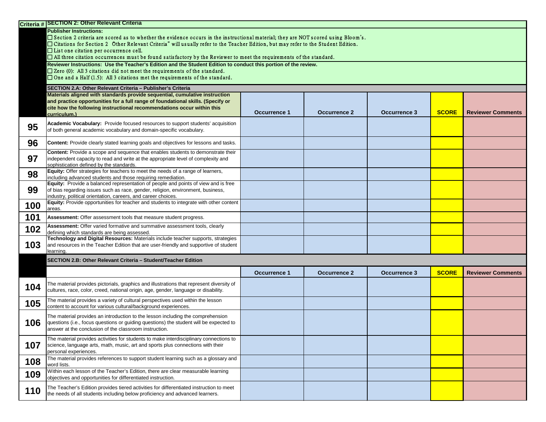|     | Criteria # SECTION 2: Other Relevant Criteria                                                                                                                                                                                                                                                                                                                                                                                                                                               |                     |                     |                     |              |                          |
|-----|---------------------------------------------------------------------------------------------------------------------------------------------------------------------------------------------------------------------------------------------------------------------------------------------------------------------------------------------------------------------------------------------------------------------------------------------------------------------------------------------|---------------------|---------------------|---------------------|--------------|--------------------------|
|     | <b>Publisher Instructions:</b><br>□ Section 2 criteria are scored as to whether the evidence occurs in the instructional material; they are NOT scored using Bloom's.<br>□ Citations for Section 2 Other Relevant Criteria" will usually refer to the Teacher Edition, but may refer to the Student Edition.<br>$\Box$ List one citation per occurrence cell.<br>$\Box$ All three citation occurrences must be found satisfactory by the Reviewer to meet the requirements of the standard. |                     |                     |                     |              |                          |
|     | Reviewer Instructions: Use the Teacher's Edition and the Student Edition to conduct this portion of the review.<br>$\Box$ Zero (0): All 3 citations did not meet the requirements of the standard.<br>$\Box$ One and a Half (1.5): All 3 citations met the requirements of the standard.                                                                                                                                                                                                    |                     |                     |                     |              |                          |
|     | SECTION 2.A: Other Relevant Criteria - Publisher's Criteria                                                                                                                                                                                                                                                                                                                                                                                                                                 |                     |                     |                     |              |                          |
|     | Materials aligned with standards provide sequential, cumulative instruction<br>and practice opportunities for a full range of foundational skills. (Specify or<br>cite how the following instructional recommendations occur within this<br>curriculum.)                                                                                                                                                                                                                                    | <b>Occurrence 1</b> | <b>Occurrence 2</b> | <b>Occurrence 3</b> | <b>SCORE</b> | <b>Reviewer Comments</b> |
| 95  | Academic Vocabulary: Provide focused resources to support students' acquisition<br>of both general academic vocabulary and domain-specific vocabulary.                                                                                                                                                                                                                                                                                                                                      |                     |                     |                     |              |                          |
| 96  | <b>Content:</b> Provide clearly stated learning goals and objectives for lessons and tasks.                                                                                                                                                                                                                                                                                                                                                                                                 |                     |                     |                     |              |                          |
| 97  | Content: Provide a scope and sequence that enables students to demonstrate their<br>independent capacity to read and write at the appropriate level of complexity and<br>sophistication defined by the standards.                                                                                                                                                                                                                                                                           |                     |                     |                     |              |                          |
| 98  | <b>Equity:</b> Offer strategies for teachers to meet the needs of a range of learners,<br>including advanced students and those requiring remediation.                                                                                                                                                                                                                                                                                                                                      |                     |                     |                     |              |                          |
| 99  | Equity: Provide a balanced representation of people and points of view and is free<br>of bias regarding issues such as race, gender, religion, environment, business,<br>industry, political orientation, careers, and career choices.                                                                                                                                                                                                                                                      |                     |                     |                     |              |                          |
| 100 | Equity: Provide opportunities for teacher and students to integrate with other content<br>areas.                                                                                                                                                                                                                                                                                                                                                                                            |                     |                     |                     |              |                          |
| 101 | Assessment: Offer assessment tools that measure student progress.                                                                                                                                                                                                                                                                                                                                                                                                                           |                     |                     |                     |              |                          |
| 102 | Assessment: Offer varied formative and summative assessment tools, clearly<br>defining which standards are being assessed.                                                                                                                                                                                                                                                                                                                                                                  |                     |                     |                     |              |                          |
| 103 | Technology and Digital Resources: Materials include teacher supports, strategies<br>and resources in the Teacher Edition that are user-friendly and supportive of student<br>learning.                                                                                                                                                                                                                                                                                                      |                     |                     |                     |              |                          |
|     | SECTION 2.B: Other Relevant Criteria - Student/Teacher Edition                                                                                                                                                                                                                                                                                                                                                                                                                              |                     |                     |                     |              |                          |
|     |                                                                                                                                                                                                                                                                                                                                                                                                                                                                                             | <b>Occurrence 1</b> | <b>Occurrence 2</b> | <b>Occurrence 3</b> | <b>SCORE</b> | <b>Reviewer Comments</b> |
| 104 | The material provides pictorials, graphics and illustrations that represent diversity of<br>cultures, race, color, creed, national origin, age, gender, language or disability.                                                                                                                                                                                                                                                                                                             |                     |                     |                     |              |                          |
| 105 | The material provides a variety of cultural perspectives used within the lesson<br>content to account for various cultural/background experiences.                                                                                                                                                                                                                                                                                                                                          |                     |                     |                     |              |                          |
| 106 | The material provides an introduction to the lesson including the comprehension<br>questions (i.e., focus questions or guiding questions) the student will be expected to<br>answer at the conclusion of the classroom instruction.                                                                                                                                                                                                                                                         |                     |                     |                     |              |                          |
| 107 | The material provides activities for students to make interdisciplinary connections to<br>science, language arts, math, music, art and sports plus connections with their<br>personal experiences.                                                                                                                                                                                                                                                                                          |                     |                     |                     |              |                          |
| 108 | The material provides references to support student learning such as a glossary and<br>word lists.                                                                                                                                                                                                                                                                                                                                                                                          |                     |                     |                     |              |                          |
| 109 | Within each lesson of the Teacher's Edition, there are clear measurable learning<br>objectives and opportunities for differentiated instruction.                                                                                                                                                                                                                                                                                                                                            |                     |                     |                     |              |                          |
| 110 | The Teacher's Edition provides tiered activities for differentiated instruction to meet<br>the needs of all students including below proficiency and advanced learners.                                                                                                                                                                                                                                                                                                                     |                     |                     |                     |              |                          |

|  | <b>SCORE</b> | <b>Reviewer Comments</b> |
|--|--------------|--------------------------|
|  |              |                          |
|  |              |                          |
|  |              |                          |
|  |              |                          |
|  |              |                          |
|  |              |                          |
|  |              |                          |
|  |              |                          |
|  |              |                          |

| <b>SCORE</b> | <b>Reviewer Comments</b> |
|--------------|--------------------------|
|              |                          |
|              |                          |
|              |                          |
|              |                          |
|              |                          |
|              |                          |
|              |                          |